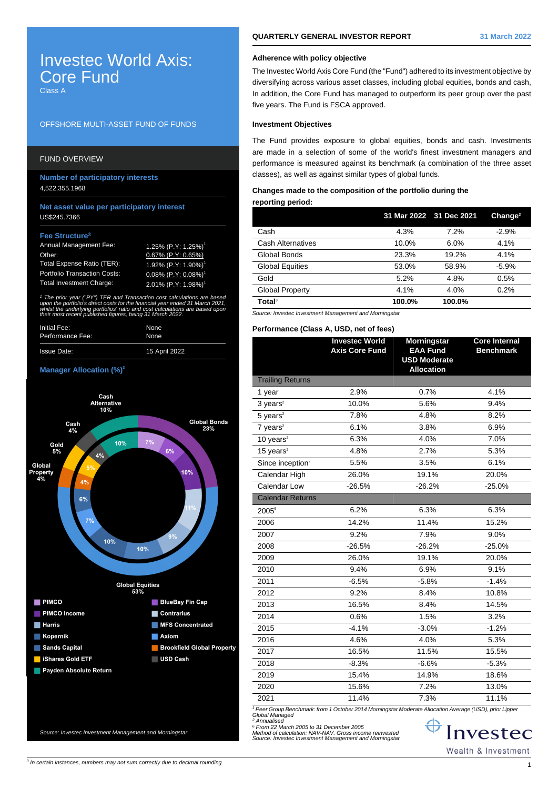# Investec World Axis: Core Fund Class A

### OFFSHORE MULTI-ASSET FUND OF FUNDS

## FUND OVERVIEW

**Number of participatory interests** 4,522,355.1968

### **Net asset value per participatory interest** US\$245.7366

#### **Fee Structure<sup>3</sup>**

| <b>Annual Management Fee:</b>       | 1.25% (P.Y: 1.25%) <sup>1</sup>        |
|-------------------------------------|----------------------------------------|
| Other:                              | 0.67% (P.Y: 0.65%)                     |
| Total Expense Ratio (TER):          | 1.92% (P.Y: 1.90%) <sup>1</sup>        |
| <b>Portfolio Transaction Costs:</b> | $0.08\%$ (P.Y: $0.08\%$ ) <sup>1</sup> |
| <b>Total Investment Charge:</b>     | 2.01% (P.Y: 1.98%) <sup>1</sup>        |

1 The prior year ("PY") TER and Transaction cost calculations are based upon the portfolio's direct costs for the financial year ended 31 March 2021, whilst the underlying portfolios' ratio and cost calculations are based upor. their most recent published figures, being 31 March 2022.

| Initial Fee:       | None          |
|--------------------|---------------|
| Performance Fee:   | None          |
| <b>Issue Date:</b> | 15 April 2022 |

#### **Manager Allocation (%)<sup>3</sup>**



# **QUARTERLY GENERAL INVESTOR REPORT 31 March 2022**

# **Adherence with policy objective**

The Investec World Axis Core Fund (the "Fund") adhered to its investment objective by diversifying across various asset classes, including global equities, bonds and cash, In addition, the Core Fund has managed to outperform its peer group over the past five years. The Fund is FSCA approved.

### **Investment Objectives**

The Fund provides exposure to global equities, bonds and cash. Investments are made in a selection of some of the world's finest investment managers and performance is measured against its benchmark (a combination of the three asset classes), as well as against similar types of global funds.

### **Changes made to the composition of the portfolio during the reporting period:**

|                          |        | 31 Mar 2022 31 Dec 2021 | Change <sup>3</sup> |
|--------------------------|--------|-------------------------|---------------------|
| Cash                     | 4.3%   | 7.2%                    | $-2.9%$             |
| <b>Cash Alternatives</b> | 10.0%  | 6.0%                    | 4.1%                |
| Global Bonds             | 23.3%  | 19.2%                   | 4.1%                |
| <b>Global Equities</b>   | 53.0%  | 58.9%                   | $-5.9%$             |
| Gold                     | 5.2%   | 4.8%                    | 0.5%                |
| Global Property          | 4.1%   | 4.0%                    | 0.2%                |
| Total <sup>3</sup>       | 100.0% | 100.0%                  |                     |

Source: Investec Investment Management and Morningstar

#### **Performance (Class A, USD, net of fees)**

|                              | <b>Investec World</b><br><b>Axis Core Fund</b> | <b>Morningstar</b><br><b>EAA Fund</b>    | <b>Core Internal</b><br><b>Benchmark</b> |
|------------------------------|------------------------------------------------|------------------------------------------|------------------------------------------|
|                              |                                                | <b>USD Moderate</b><br><b>Allocation</b> |                                          |
| <b>Trailing Returns</b>      |                                                |                                          |                                          |
| 1 year                       | 2.9%                                           | 0.7%                                     | 4.1%                                     |
| $3$ years <sup>2</sup>       | 10.0%                                          | 5.6%                                     | 9.4%                                     |
| $5$ years <sup>2</sup>       | 7.8%                                           | 4.8%                                     | 8.2%                                     |
| $7$ years <sup>2</sup>       | 6.1%                                           | 3.8%                                     | 6.9%                                     |
| 10 years $2$                 | 6.3%                                           | 4.0%                                     | 7.0%                                     |
| 15 years $2$                 | 4.8%                                           | 2.7%                                     | 5.3%                                     |
| Since inception <sup>2</sup> | 5.5%                                           | 3.5%                                     | 6.1%                                     |
| Calendar High                | 26.0%                                          | 19.1%                                    | 20.0%                                    |
| Calendar Low                 | $-26.5%$                                       | $-26.2%$                                 | $-25.0%$                                 |
| <b>Calendar Returns</b>      |                                                |                                          |                                          |
| $2005^6$                     | 6.2%                                           | 6.3%                                     | 6.3%                                     |
| 2006                         | 14.2%                                          | 11.4%                                    | 15.2%                                    |
| 2007                         | 9.2%                                           | 7.9%                                     | 9.0%                                     |
| 2008                         | $-26.5%$                                       | $-26.2%$                                 | $-25.0%$                                 |
| 2009                         | 26.0%                                          | 19.1%                                    | 20.0%                                    |
| 2010                         | 9.4%                                           | 6.9%                                     | 9.1%                                     |
| 2011                         | $-6.5%$                                        | $-5.8%$                                  | $-1.4%$                                  |
| 2012                         | 9.2%                                           | 8.4%                                     | 10.8%                                    |
| 2013                         | 16.5%                                          | 8.4%                                     | 14.5%                                    |
| 2014                         | 0.6%                                           | 1.5%                                     | 3.2%                                     |
| 2015                         | $-4.1%$                                        | $-3.0%$                                  | $-1.2%$                                  |
| 2016                         | 4.6%                                           | 4.0%                                     | 5.3%                                     |
| 2017                         | 16.5%                                          | 11.5%                                    | 15.5%                                    |
| 2018                         | $-8.3%$                                        | $-6.6%$                                  | $-5.3%$                                  |
| 2019                         | 15.4%                                          | 14.9%                                    | 18.6%                                    |
| 2020                         | 15.6%                                          | 7.2%                                     | 13.0%                                    |
| 2021                         | 11.4%                                          | 7.3%                                     | 11.1%                                    |

<sup>1</sup> Peer Group Benchmark: from 1 October 2014 Morningstar Moderate Allocation Average (USD), prior Lippeı<br>Global Managed<br><sup>2</sup> Annualised

6 From 22 March 2005 to 31 December 2005 Method of calculation: NAV-NAV. Gross income reinvested Source: Investec Investment Management and Morningstar